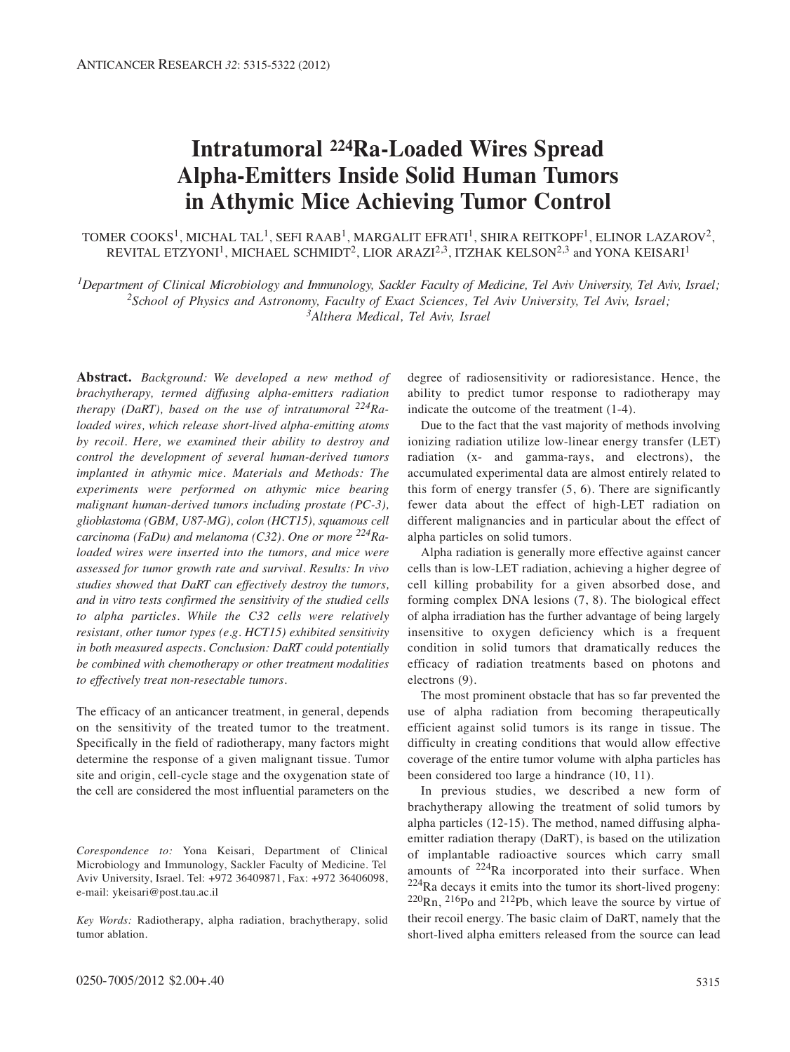# **Intratumoral 224Ra-Loaded Wires Spread Alpha-Emitters Inside Solid Human Tumors in Athymic Mice Achieving Tumor Control**

TOMER COOKS<sup>1</sup>, MICHAL TAL<sup>1</sup>, SEFI RAAB<sup>1</sup>, MARGALIT EFRATI<sup>1</sup>, SHIRA REITKOPF<sup>1</sup>, ELINOR LAZAROV<sup>2</sup>, REVITAL ETZYONI<sup>1</sup>, MICHAEL SCHMIDT<sup>2</sup>, LIOR ARAZI<sup>2,3</sup>, ITZHAK KELSON<sup>2,3</sup> and YONA KEISARI<sup>1</sup>

*1Department of Clinical Microbiology and Immunology, Sackler Faculty of Medicine, Tel Aviv University, Tel Aviv, Israel; 2School of Physics and Astronomy, Faculty of Exact Sciences, Tel Aviv University, Tel Aviv, Israel; 3Althera Medical, Tel Aviv, Israel*

**Abstract.** *Background: We developed a new method of brachytherapy, termed diffusing alpha-emitters radiation therapy (DaRT), based on the use of intratumoral 224Raloaded wires, which release short-lived alpha-emitting atoms by recoil. Here, we examined their ability to destroy and control the development of several human-derived tumors implanted in athymic mice. Materials and Methods: The experiments were performed on athymic mice bearing malignant human-derived tumors including prostate (PC-3), glioblastoma (GBM, U87-MG), colon (HCT15), squamous cell carcinoma (FaDu) and melanoma (C32). One or more 224Raloaded wires were inserted into the tumors, and mice were assessed for tumor growth rate and survival. Results: In vivo studies showed that DaRT can effectively destroy the tumors, and in vitro tests confirmed the sensitivity of the studied cells to alpha particles. While the C32 cells were relatively resistant, other tumor types (e.g. HCT15) exhibited sensitivity in both measured aspects. Conclusion: DaRT could potentially be combined with chemotherapy or other treatment modalities to effectively treat non-resectable tumors.*

The efficacy of an anticancer treatment, in general, depends on the sensitivity of the treated tumor to the treatment. Specifically in the field of radiotherapy, many factors might determine the response of a given malignant tissue. Tumor site and origin, cell-cycle stage and the oxygenation state of the cell are considered the most influential parameters on the

*Corespondence to:* Yona Keisari, Department of Clinical Microbiology and Immunology, Sackler Faculty of Medicine. Tel Aviv University, Israel. Tel: +972 36409871, Fax: +972 36406098, e-mail: ykeisari@post.tau.ac.il

*Key Words:* Radiotherapy, alpha radiation, brachytherapy, solid tumor ablation.

degree of radiosensitivity or radioresistance. Hence, the ability to predict tumor response to radiotherapy may indicate the outcome of the treatment (1-4).

Due to the fact that the vast majority of methods involving ionizing radiation utilize low-linear energy transfer (LET) radiation (x- and gamma-rays, and electrons), the accumulated experimental data are almost entirely related to this form of energy transfer  $(5, 6)$ . There are significantly fewer data about the effect of high-LET radiation on different malignancies and in particular about the effect of alpha particles on solid tumors.

Alpha radiation is generally more effective against cancer cells than is low-LET radiation, achieving a higher degree of cell killing probability for a given absorbed dose, and forming complex DNA lesions (7, 8). The biological effect of alpha irradiation has the further advantage of being largely insensitive to oxygen deficiency which is a frequent condition in solid tumors that dramatically reduces the efficacy of radiation treatments based on photons and electrons (9).

The most prominent obstacle that has so far prevented the use of alpha radiation from becoming therapeutically efficient against solid tumors is its range in tissue. The difficulty in creating conditions that would allow effective coverage of the entire tumor volume with alpha particles has been considered too large a hindrance (10, 11).

In previous studies, we described a new form of brachytherapy allowing the treatment of solid tumors by alpha particles (12-15). The method, named diffusing alphaemitter radiation therapy (DaRT), is based on the utilization of implantable radioactive sources which carry small amounts of  $224$ Ra incorporated into their surface. When  $224$ Ra decays it emits into the tumor its short-lived progeny:  $220$ Rn,  $216$ Po and  $212$ Pb, which leave the source by virtue of their recoil energy. The basic claim of DaRT, namely that the short-lived alpha emitters released from the source can lead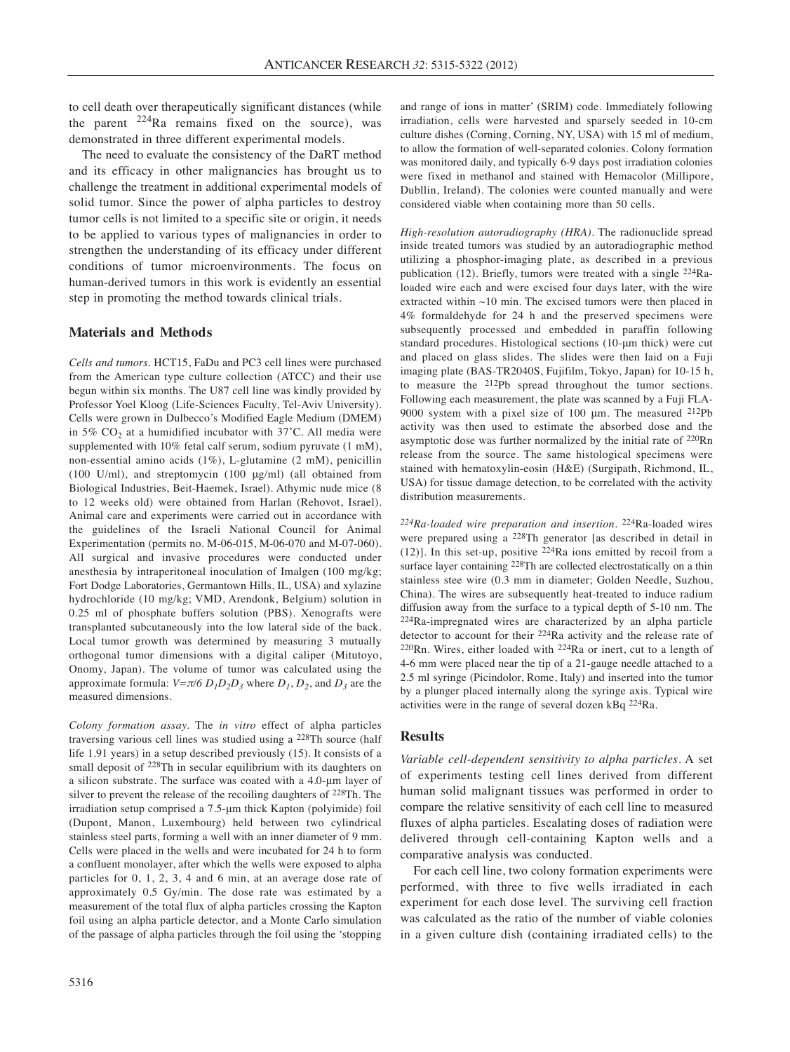to cell death over therapeutically significant distances (while the parent  $2^{24}$ Ra remains fixed on the source), was demonstrated in three different experimental models.

The need to evaluate the consistency of the DaRT method and its efficacy in other malignancies has brought us to challenge the treatment in additional experimental models of solid tumor. Since the power of alpha particles to destroy tumor cells is not limited to a specific site or origin, it needs to be applied to various types of malignancies in order to strengthen the understanding of its efficacy under different conditions of tumor microenvironments. The focus on human-derived tumors in this work is evidently an essential step in promoting the method towards clinical trials.

## **Materials and Methods**

*Cells and tumors.* HCT15, FaDu and PC3 cell lines were purchased from the American type culture collection (ATCC) and their use begun within six months. The U87 cell line was kindly provided by Professor Yoel Kloog (Life-Sciences Faculty, Tel-Aviv University). Cells were grown in Dulbecco's Modified Eagle Medium (DMEM) in 5%  $CO<sub>2</sub>$  at a humidified incubator with 37°C. All media were supplemented with 10% fetal calf serum, sodium pyruvate (1 mM), non-essential amino acids (1%), L-glutamine (2 mM), penicillin (100 U/ml), and streptomycin (100 μg/ml) (all obtained from Biological Industries, Beit-Haemek, Israel). Athymic nude mice (8 to 12 weeks old) were obtained from Harlan (Rehovot, Israel). Animal care and experiments were carried out in accordance with the guidelines of the Israeli National Council for Animal Experimentation (permits no. M-06-015, M-06-070 and M-07-060). All surgical and invasive procedures were conducted under anesthesia by intraperitoneal inoculation of Imalgen (100 mg/kg; Fort Dodge Laboratories, Germantown Hills, IL, USA) and xylazine hydrochloride (10 mg/kg; VMD, Arendonk, Belgium) solution in 0.25 ml of phosphate buffers solution (PBS). Xenografts were transplanted subcutaneously into the low lateral side of the back. Local tumor growth was determined by measuring 3 mutually orthogonal tumor dimensions with a digital caliper (Mitutoyo, Onomy, Japan). The volume of tumor was calculated using the approximate formula:  $V = \pi/6 D_1 D_2 D_3$  where  $D_1, D_2$ , and  $D_3$  are the measured dimensions.

*Colony formation assay.* The *in vitro* effect of alpha particles traversing various cell lines was studied using a 228Th source (half life 1.91 years) in a setup described previously (15). It consists of a small deposit of 228Th in secular equilibrium with its daughters on a silicon substrate. The surface was coated with a 4.0-μm layer of silver to prevent the release of the recoiling daughters of 228Th. The irradiation setup comprised a 7.5-μm thick Kapton (polyimide) foil (Dupont, Manon, Luxembourg) held between two cylindrical stainless steel parts, forming a well with an inner diameter of 9 mm. Cells were placed in the wells and were incubated for 24 h to form a confluent monolayer, after which the wells were exposed to alpha particles for 0, 1, 2, 3, 4 and 6 min, at an average dose rate of approximately 0.5 Gy/min. The dose rate was estimated by a measurement of the total flux of alpha particles crossing the Kapton foil using an alpha particle detector, and a Monte Carlo simulation of the passage of alpha particles through the foil using the 'stopping and range of ions in matter' (SRIM) code. Immediately following irradiation, cells were harvested and sparsely seeded in 10-cm culture dishes (Corning, Corning, NY, USA) with 15 ml of medium, to allow the formation of well-separated colonies. Colony formation was monitored daily, and typically 6-9 days post irradiation colonies were fixed in methanol and stained with Hemacolor (Millipore, Dubllin, Ireland). The colonies were counted manually and were considered viable when containing more than 50 cells.

*High-resolution autoradiography (HRA).* The radionuclide spread inside treated tumors was studied by an autoradiographic method utilizing a phosphor-imaging plate, as described in a previous publication (12). Briefly, tumors were treated with a single 224Raloaded wire each and were excised four days later, with the wire extracted within ~10 min. The excised tumors were then placed in 4% formaldehyde for 24 h and the preserved specimens were subsequently processed and embedded in paraffin following standard procedures. Histological sections (10-μm thick) were cut and placed on glass slides. The slides were then laid on a Fuji imaging plate (BAS-TR2040S, Fujifilm, Tokyo, Japan) for 10-15 h, to measure the 212Pb spread throughout the tumor sections. Following each measurement, the plate was scanned by a Fuji FLA-9000 system with a pixel size of 100 μm. The measured 212Pb activity was then used to estimate the absorbed dose and the asymptotic dose was further normalized by the initial rate of 220Rn release from the source. The same histological specimens were stained with hematoxylin-eosin (H&E) (Surgipath, Richmond, IL, USA) for tissue damage detection, to be correlated with the activity distribution measurements.

*224Ra-loaded wire preparation and insertion.* 224Ra-loaded wires were prepared using a 228Th generator [as described in detail in (12)]. In this set-up, positive  $2^{24}$ Ra ions emitted by recoil from a surface layer containing <sup>228</sup>Th are collected electrostatically on a thin stainless stee wire (0.3 mm in diameter; Golden Needle, Suzhou, China). The wires are subsequently heat-treated to induce radium diffusion away from the surface to a typical depth of 5-10 nm. The 224Ra-impregnated wires are characterized by an alpha particle detector to account for their 224Ra activity and the release rate of 220Rn. Wires, either loaded with 224Ra or inert, cut to a length of 4-6 mm were placed near the tip of a 21-gauge needle attached to a 2.5 ml syringe (Picindolor, Rome, Italy) and inserted into the tumor by a plunger placed internally along the syringe axis. Typical wire activities were in the range of several dozen kBq 224Ra.

## **Results**

*Variable cell-dependent sensitivity to alpha particles.* A set of experiments testing cell lines derived from different human solid malignant tissues was performed in order to compare the relative sensitivity of each cell line to measured fluxes of alpha particles. Escalating doses of radiation were delivered through cell-containing Kapton wells and a comparative analysis was conducted.

For each cell line, two colony formation experiments were performed, with three to five wells irradiated in each experiment for each dose level. The surviving cell fraction was calculated as the ratio of the number of viable colonies in a given culture dish (containing irradiated cells) to the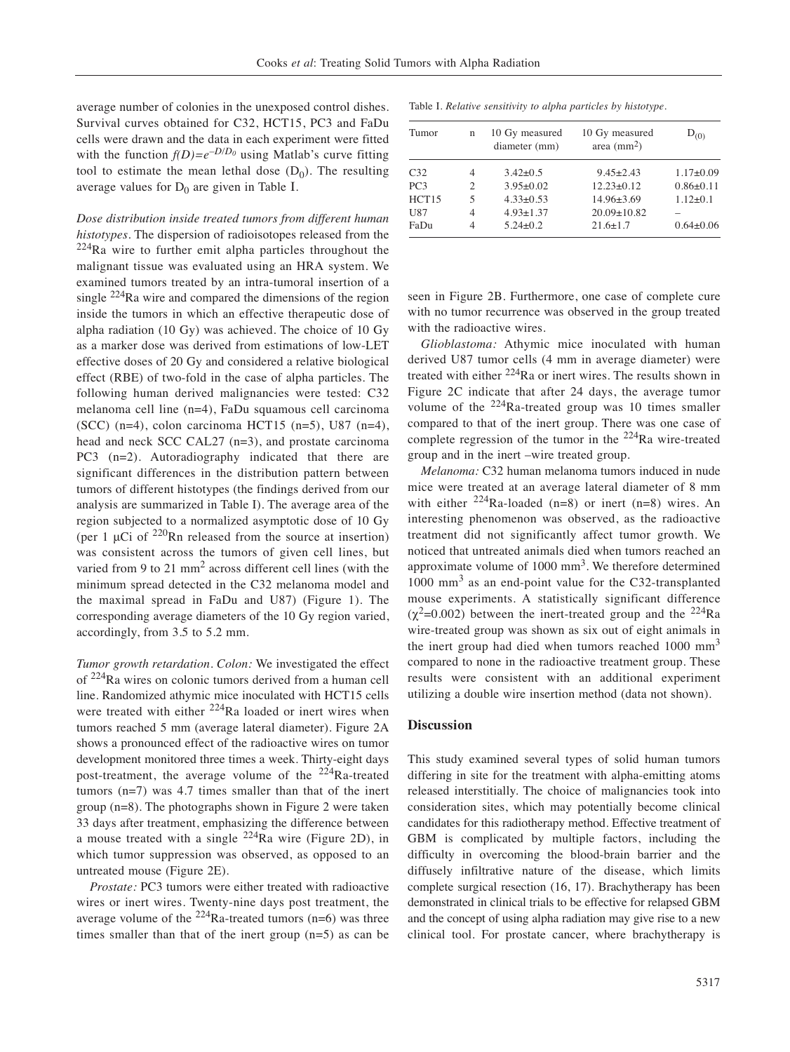average number of colonies in the unexposed control dishes. Survival curves obtained for C32, HCT15, PC3 and FaDu cells were drawn and the data in each experiment were fitted with the function  $f(D)=e^{-D/D_0}$  using Matlab's curve fitting tool to estimate the mean lethal dose  $(D_0)$ . The resulting average values for  $D_0$  are given in Table I.

*Dose distribution inside treated tumors from different human histotypes.* The dispersion of radioisotopes released from the  $224$ Ra wire to further emit alpha particles throughout the malignant tissue was evaluated using an HRA system. We examined tumors treated by an intra-tumoral insertion of a single  $224$ Ra wire and compared the dimensions of the region inside the tumors in which an effective therapeutic dose of alpha radiation (10 Gy) was achieved. The choice of 10 Gy as a marker dose was derived from estimations of low-LET effective doses of 20 Gy and considered a relative biological effect (RBE) of two-fold in the case of alpha particles. The following human derived malignancies were tested: C32 melanoma cell line (n=4), FaDu squamous cell carcinoma (SCC) (n=4), colon carcinoma HCT15 (n=5), U87 (n=4), head and neck SCC CAL27 (n=3), and prostate carcinoma PC3 (n=2). Autoradiography indicated that there are significant differences in the distribution pattern between tumors of different histotypes (the findings derived from our analysis are summarized in Table I). The average area of the region subjected to a normalized asymptotic dose of 10 Gy (per 1  $\mu$ Ci of <sup>220</sup>Rn released from the source at insertion) was consistent across the tumors of given cell lines, but varied from 9 to 21 mm<sup>2</sup> across different cell lines (with the minimum spread detected in the C32 melanoma model and the maximal spread in FaDu and U87) (Figure 1). The corresponding average diameters of the 10 Gy region varied, accordingly, from 3.5 to 5.2 mm.

*Tumor growth retardation. Colon:* We investigated the effect of 224Ra wires on colonic tumors derived from a human cell line. Randomized athymic mice inoculated with HCT15 cells were treated with either <sup>224</sup>Ra loaded or inert wires when tumors reached 5 mm (average lateral diameter). Figure 2A shows a pronounced effect of the radioactive wires on tumor development monitored three times a week. Thirty-eight days post-treatment, the average volume of the  $224$ Ra-treated tumors (n=7) was 4.7 times smaller than that of the inert group (n=8). The photographs shown in Figure 2 were taken 33 days after treatment, emphasizing the difference between a mouse treated with a single  $^{224}$ Ra wire (Figure 2D), in which tumor suppression was observed, as opposed to an untreated mouse (Figure 2E).

*Prostate:* PC3 tumors were either treated with radioactive wires or inert wires. Twenty-nine days post treatment, the average volume of the  $224$ Ra-treated tumors (n=6) was three times smaller than that of the inert group (n=5) as can be

|  |  |  |  |  |  |  |  |  |  |  | Table I. Relative sensitivity to alpha particles by histotype. |  |
|--|--|--|--|--|--|--|--|--|--|--|----------------------------------------------------------------|--|
|--|--|--|--|--|--|--|--|--|--|--|----------------------------------------------------------------|--|

| Tumor           | n              | 10 Gy measured<br>diameter (mm) | 10 Gy measured<br>area $\text{(mm2)}$ | $D_{(0)}$       |
|-----------------|----------------|---------------------------------|---------------------------------------|-----------------|
| C <sub>32</sub> | 4              | $3.42\pm0.5$                    | $9.45 \pm 2.43$                       | $1.17 \pm 0.09$ |
| PC <sub>3</sub> | $\mathfrak{D}$ | $3.95 \pm 0.02$                 | $12.23 \pm 0.12$                      | $0.86 \pm 0.11$ |
| HCT15           | 5              | $4.33 \pm 0.53$                 | $14.96 \pm 3.69$                      | $1.12\pm 0.1$   |
| U87             | 4              | $4.93 \pm 1.37$                 | $20.09 \pm 10.82$                     |                 |
| FaDu            |                | $5.24 \pm 0.2$                  | $21.6 \pm 1.7$                        | $0.64 \pm 0.06$ |

seen in Figure 2B. Furthermore, one case of complete cure with no tumor recurrence was observed in the group treated with the radioactive wires.

*Glioblastoma:* Athymic mice inoculated with human derived U87 tumor cells (4 mm in average diameter) were treated with either 224Ra or inert wires. The results shown in Figure 2C indicate that after 24 days, the average tumor volume of the  $224$ Ra-treated group was 10 times smaller compared to that of the inert group. There was one case of complete regression of the tumor in the  $^{224}$ Ra wire-treated group and in the inert –wire treated group.

*Melanoma:* C32 human melanoma tumors induced in nude mice were treated at an average lateral diameter of 8 mm with either  $224$ Ra-loaded (n=8) or inert (n=8) wires. An interesting phenomenon was observed, as the radioactive treatment did not significantly affect tumor growth. We noticed that untreated animals died when tumors reached an approximate volume of  $1000 \text{ mm}^3$ . We therefore determined 1000 mm<sup>3</sup> as an end-point value for the C32-transplanted mouse experiments. A statistically significant difference  $(\chi^2=0.002)$  between the inert-treated group and the <sup>224</sup>Ra wire-treated group was shown as six out of eight animals in the inert group had died when tumors reached 1000 mm<sup>3</sup> compared to none in the radioactive treatment group. These results were consistent with an additional experiment utilizing a double wire insertion method (data not shown).

#### **Discussion**

This study examined several types of solid human tumors differing in site for the treatment with alpha-emitting atoms released interstitially. The choice of malignancies took into consideration sites, which may potentially become clinical candidates for this radiotherapy method. Effective treatment of GBM is complicated by multiple factors, including the difficulty in overcoming the blood-brain barrier and the diffusely infiltrative nature of the disease, which limits complete surgical resection (16, 17). Brachytherapy has been demonstrated in clinical trials to be effective for relapsed GBM and the concept of using alpha radiation may give rise to a new clinical tool. For prostate cancer, where brachytherapy is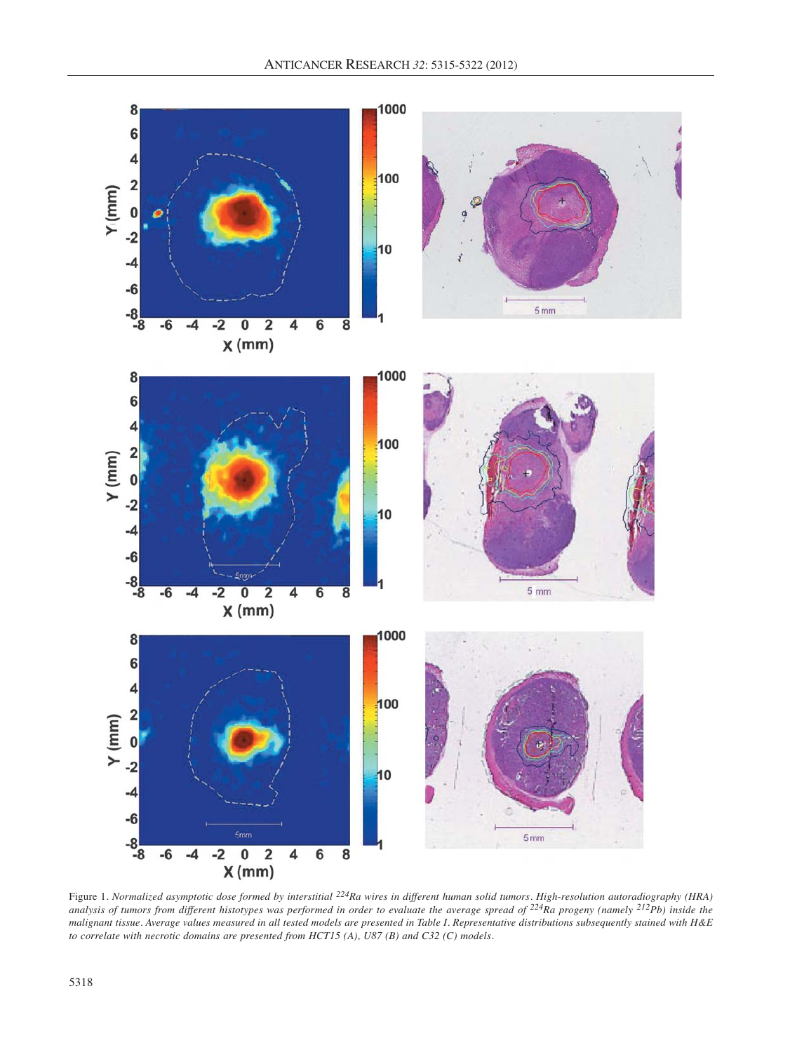

Figure 1. *Normalized asymptotic dose formed by interstitial*  $^{224}$ Ra wires in different human solid tumors. High-resolution autoradiography (HRA) *analysis of tumors from different histotypes was performed in order to evaluate the average spread of 224Ra progeny (namely 212Pb) inside the malignant tissue. Average values measured in all tested models are presented in Table I. Representative distributions subsequently stained with H&E to correlate with necrotic domains are presented from HCT15 (A), U87 (B) and C32 (C) models.*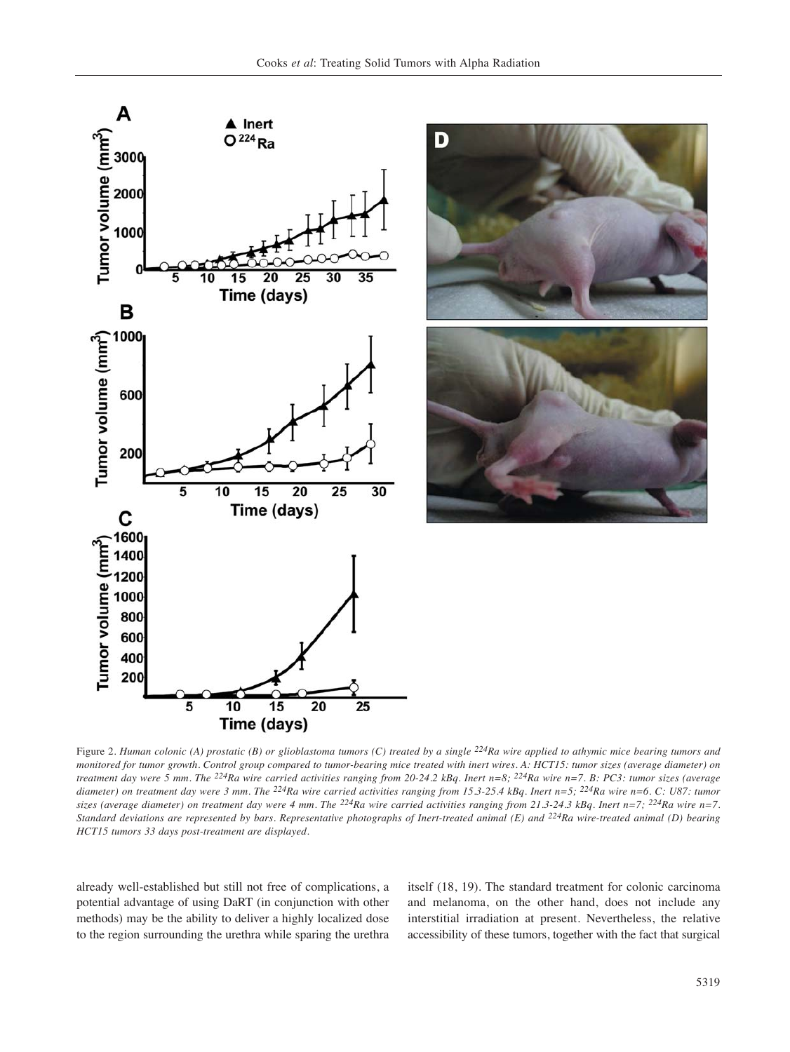



Figure 2. *Human colonic (A) prostatic (B) or glioblastoma tumors (C) treated by a single <sup>224</sup>Ra wire applied to athymic mice bearing tumors and monitored for tumor growth. Control group compared to tumor-bearing mice treated with inert wires. A: HCT15: tumor sizes (average diameter) on treatment day were 5 mm. The 224Ra wire carried activities ranging from 20-24.2 kBq. Inert n=8; 224Ra wire n=7. B: PC3: tumor sizes (average diameter) on treatment day were 3 mm. The 224Ra wire carried activities ranging from 15.3-25.4 kBq. Inert n=5; 224Ra wire n=6. C: U87: tumor* sizes (average diameter) on treatment day were 4 mm. The <sup>224</sup>Ra wire carried activities ranging from 21.3-24.3 kBq. Inert n=7; <sup>224</sup>Ra wire n=7. *Standard deviations are represented by bars. Representative photographs of Inert-treated animal (E) and 224Ra wire-treated animal (D) bearing HCT15 tumors 33 days post-treatment are displayed.* 

already well-established but still not free of complications, a potential advantage of using DaRT (in conjunction with other methods) may be the ability to deliver a highly localized dose to the region surrounding the urethra while sparing the urethra

itself (18, 19). The standard treatment for colonic carcinoma and melanoma, on the other hand, does not include any interstitial irradiation at present. Nevertheless, the relative accessibility of these tumors, together with the fact that surgical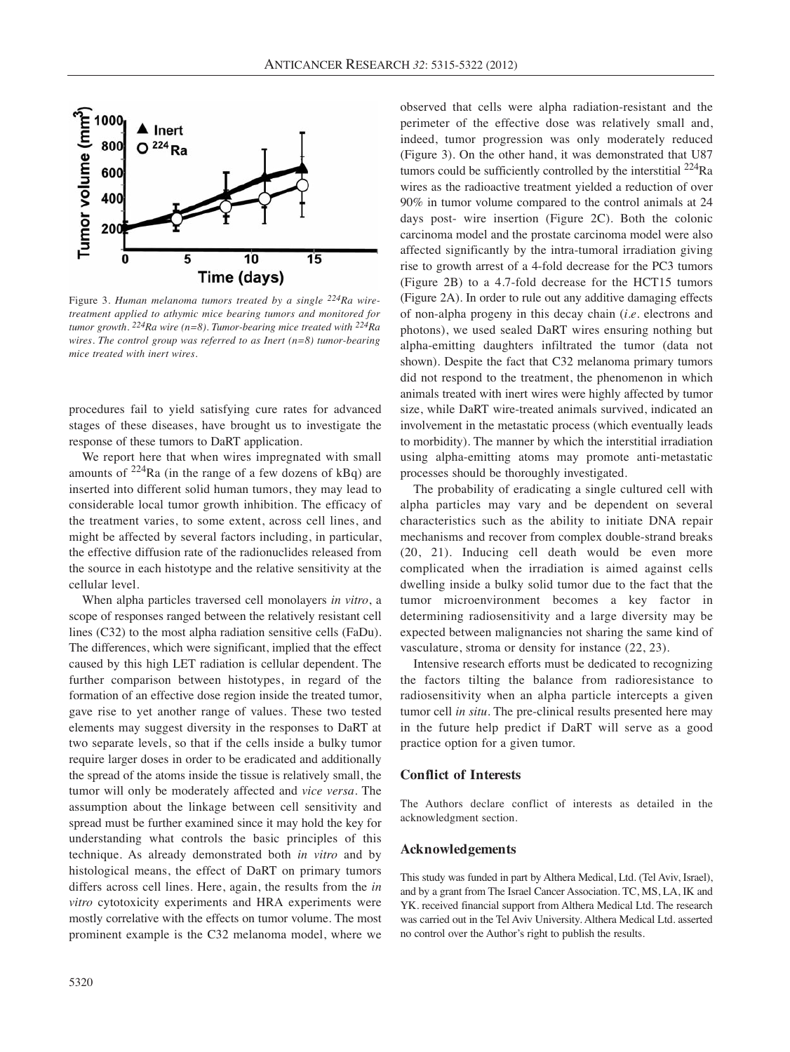

Figure 3. *Human melanoma tumors treated by a single 224Ra wiretreatment applied to athymic mice bearing tumors and monitored for tumor growth. 224Ra wire (n=8). Tumor-bearing mice treated with 224Ra wires. The control group was referred to as Inert (n=8) tumor-bearing mice treated with inert wires.* 

procedures fail to yield satisfying cure rates for advanced stages of these diseases, have brought us to investigate the response of these tumors to DaRT application.

We report here that when wires impregnated with small amounts of  $224$ Ra (in the range of a few dozens of kBq) are inserted into different solid human tumors, they may lead to considerable local tumor growth inhibition. The efficacy of the treatment varies, to some extent, across cell lines, and might be affected by several factors including, in particular, the effective diffusion rate of the radionuclides released from the source in each histotype and the relative sensitivity at the cellular level.

When alpha particles traversed cell monolayers *in vitro*, a scope of responses ranged between the relatively resistant cell lines (C32) to the most alpha radiation sensitive cells (FaDu). The differences, which were significant, implied that the effect caused by this high LET radiation is cellular dependent. The further comparison between histotypes, in regard of the formation of an effective dose region inside the treated tumor, gave rise to yet another range of values. These two tested elements may suggest diversity in the responses to DaRT at two separate levels, so that if the cells inside a bulky tumor require larger doses in order to be eradicated and additionally the spread of the atoms inside the tissue is relatively small, the tumor will only be moderately affected and *vice versa*. The assumption about the linkage between cell sensitivity and spread must be further examined since it may hold the key for understanding what controls the basic principles of this technique. As already demonstrated both *in vitro* and by histological means, the effect of DaRT on primary tumors differs across cell lines. Here, again, the results from the *in vitro* cytotoxicity experiments and HRA experiments were mostly correlative with the effects on tumor volume. The most prominent example is the C32 melanoma model, where we

observed that cells were alpha radiation-resistant and the perimeter of the effective dose was relatively small and, indeed, tumor progression was only moderately reduced (Figure 3). On the other hand, it was demonstrated that U87 tumors could be sufficiently controlled by the interstitial <sup>224</sup>Ra wires as the radioactive treatment yielded a reduction of over 90% in tumor volume compared to the control animals at 24 days post- wire insertion (Figure 2C). Both the colonic carcinoma model and the prostate carcinoma model were also affected significantly by the intra-tumoral irradiation giving rise to growth arrest of a 4-fold decrease for the PC3 tumors (Figure 2B) to a 4.7-fold decrease for the HCT15 tumors (Figure 2A). In order to rule out any additive damaging effects of non-alpha progeny in this decay chain (*i.e.* electrons and photons), we used sealed DaRT wires ensuring nothing but alpha-emitting daughters infiltrated the tumor (data not shown). Despite the fact that C32 melanoma primary tumors did not respond to the treatment, the phenomenon in which animals treated with inert wires were highly affected by tumor size, while DaRT wire-treated animals survived, indicated an involvement in the metastatic process (which eventually leads to morbidity). The manner by which the interstitial irradiation using alpha-emitting atoms may promote anti-metastatic processes should be thoroughly investigated.

The probability of eradicating a single cultured cell with alpha particles may vary and be dependent on several characteristics such as the ability to initiate DNA repair mechanisms and recover from complex double-strand breaks (20, 21). Inducing cell death would be even more complicated when the irradiation is aimed against cells dwelling inside a bulky solid tumor due to the fact that the tumor microenvironment becomes a key factor in determining radiosensitivity and a large diversity may be expected between malignancies not sharing the same kind of vasculature, stroma or density for instance (22, 23).

Intensive research efforts must be dedicated to recognizing the factors tilting the balance from radioresistance to radiosensitivity when an alpha particle intercepts a given tumor cell *in situ.* The pre-clinical results presented here may in the future help predict if DaRT will serve as a good practice option for a given tumor.

# **Conflict of Interests**

The Authors declare conflict of interests as detailed in the acknowledgment section.

# **Acknowledgements**

This study was funded in part by Althera Medical, Ltd. (Tel Aviv, Israel), and by a grant from The Israel Cancer Association. TC, MS, LA, IK and YK. received financial support from Althera Medical Ltd. The research was carried out in the Tel Aviv University. Althera Medical Ltd. asserted no control over the Author's right to publish the results.